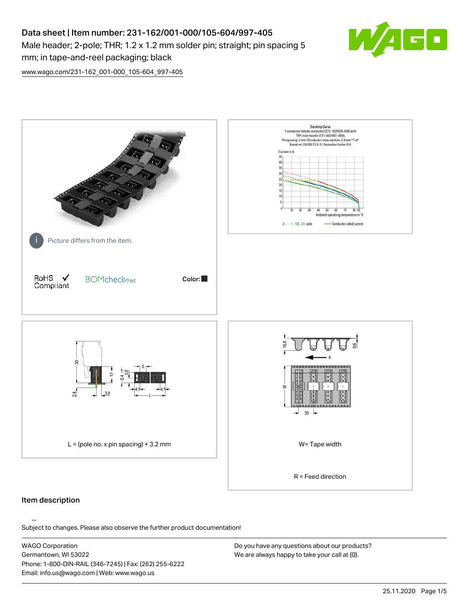# Data sheet | Item number: 231-162/001-000/105-604/997-405 Male header; 2-pole; THR; 1.2 x 1.2 mm solder pin; straight; pin spacing 5 mm; in tape-and-reel packaging; black



[www.wago.com/231-162\\_001-000\\_105-604\\_997-405](http://www.wago.com/231-162_001-000_105-604_997-405)



### Item description

Subject to changes. Please also observe the further product documentation!

WAGO Corporation Germantown, WI 53022 Phone: 1-800-DIN-RAIL (346-7245) | Fax: (262) 255-6222 Email: info.us@wago.com | Web: www.wago.us

Do you have any questions about our products? We are always happy to take your call at {0}.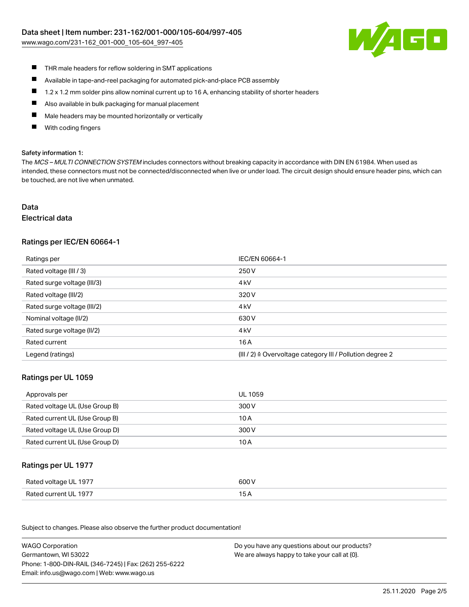[www.wago.com/231-162\\_001-000\\_105-604\\_997-405](http://www.wago.com/231-162_001-000_105-604_997-405)



- $\blacksquare$ THR male headers for reflow soldering in SMT applications
- $\blacksquare$ Available in tape-and-reel packaging for automated pick-and-place PCB assembly
- $\blacksquare$ 1.2 x 1.2 mm solder pins allow nominal current up to 16 A, enhancing stability of shorter headers
- $\blacksquare$ Also available in bulk packaging for manual placement
- П Male headers may be mounted horizontally or vertically
- With coding fingers П

#### Safety information 1:

The MCS - MULTI CONNECTION SYSTEM includes connectors without breaking capacity in accordance with DIN EN 61984. When used as intended, these connectors must not be connected/disconnected when live or under load. The circuit design should ensure header pins, which can be touched, are not live when unmated.

# Data

#### Electrical data

# Ratings per IEC/EN 60664-1

| Ratings per                 | IEC/EN 60664-1                                            |
|-----------------------------|-----------------------------------------------------------|
| Rated voltage (III / 3)     | 250 V                                                     |
| Rated surge voltage (III/3) | 4 <sub>k</sub> V                                          |
| Rated voltage (III/2)       | 320 V                                                     |
| Rated surge voltage (III/2) | 4 <sub>k</sub> V                                          |
| Nominal voltage (II/2)      | 630 V                                                     |
| Rated surge voltage (II/2)  | 4 <sub>k</sub> V                                          |
| Rated current               | 16 A                                                      |
| Legend (ratings)            | (III / 2) ≙ Overvoltage category III / Pollution degree 2 |

#### Ratings per UL 1059

| Approvals per                  | UL 1059 |
|--------------------------------|---------|
| Rated voltage UL (Use Group B) | 300 V   |
| Rated current UL (Use Group B) | 10 A    |
| Rated voltage UL (Use Group D) | 300 V   |
| Rated current UL (Use Group D) | 10 A    |

#### Ratings per UL 1977

| Rated voltage UL 1977 | 600 V |
|-----------------------|-------|
| Rated current UL 1977 |       |

Subject to changes. Please also observe the further product documentation! Ratings per CSA

| <b>WAGO Corporation</b>                                | Do you have any questions about our products? |
|--------------------------------------------------------|-----------------------------------------------|
| Germantown, WI 53022                                   | We are always happy to take your call at {0}. |
| Phone: 1-800-DIN-RAIL (346-7245)   Fax: (262) 255-6222 |                                               |
| Email: info.us@wago.com   Web: www.wago.us             |                                               |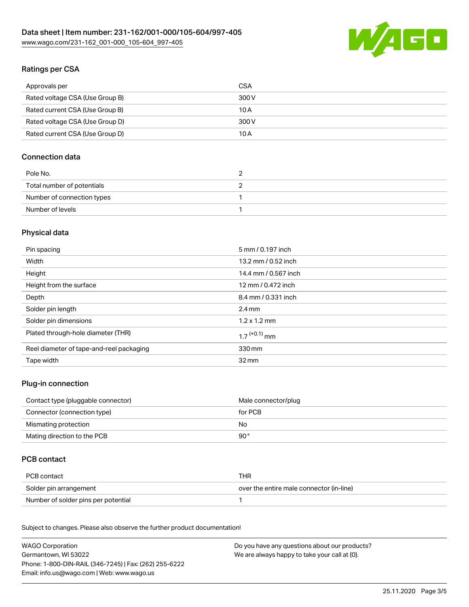

# Ratings per CSA

| Approvals per                   | CSA   |
|---------------------------------|-------|
| Rated voltage CSA (Use Group B) | 300 V |
| Rated current CSA (Use Group B) | 10 A  |
| Rated voltage CSA (Use Group D) | 300 V |
| Rated current CSA (Use Group D) | 10 A  |

# Connection data

| Pole No.                   |  |
|----------------------------|--|
| Total number of potentials |  |
| Number of connection types |  |
| Number of levels           |  |

# Physical data

| Pin spacing                              | 5 mm / 0.197 inch          |
|------------------------------------------|----------------------------|
| Width                                    | 13.2 mm / 0.52 inch        |
| Height                                   | 14.4 mm / 0.567 inch       |
| Height from the surface                  | 12 mm / 0.472 inch         |
| Depth                                    | 8.4 mm / 0.331 inch        |
| Solder pin length                        | $2.4 \text{ mm}$           |
| Solder pin dimensions                    | $1.2 \times 1.2$ mm        |
| Plated through-hole diameter (THR)       | $1.7$ <sup>(+0.1)</sup> mm |
| Reel diameter of tape-and-reel packaging | 330 mm                     |
| Tape width                               | $32 \,\mathrm{mm}$         |

# Plug-in connection

| Contact type (pluggable connector) | Male connector/plug |
|------------------------------------|---------------------|
| Connector (connection type)        | for PCB             |
| Mismating protection               | No                  |
| Mating direction to the PCB        | 90 °                |

# PCB contact

| PCB contact                         | THR                                      |
|-------------------------------------|------------------------------------------|
| Solder pin arrangement              | over the entire male connector (in-line) |
| Number of solder pins per potential |                                          |

Subject to changes. Please also observe the further product documentation! Material Data

| <b>WAGO Corporation</b>                                | Do you have any questions about our products? |
|--------------------------------------------------------|-----------------------------------------------|
| Germantown, WI 53022                                   | We are always happy to take your call at {0}. |
| Phone: 1-800-DIN-RAIL (346-7245)   Fax: (262) 255-6222 |                                               |
| Email: info.us@wago.com   Web: www.wago.us             |                                               |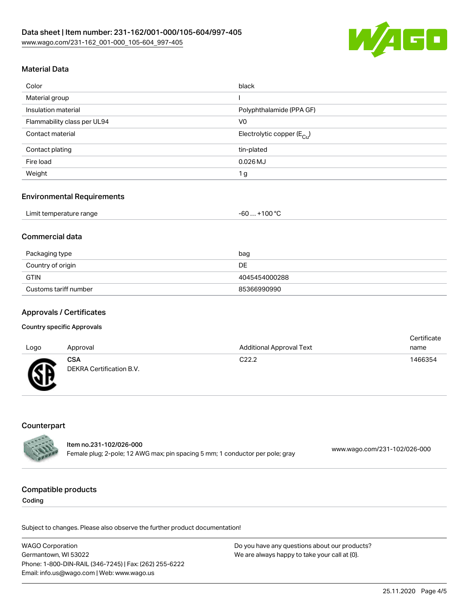

# Material Data

| Color                       | black                                 |
|-----------------------------|---------------------------------------|
| Material group              |                                       |
| Insulation material         | Polyphthalamide (PPA GF)              |
| Flammability class per UL94 | V <sub>0</sub>                        |
| Contact material            | Electrolytic copper $(E_{\text{Cl}})$ |
| Contact plating             | tin-plated                            |
| Fire load                   | $0.026$ MJ                            |
| Weight                      | 1 <sub>g</sub>                        |

#### Environmental Requirements

| Limit temperature range | $. +100 °C$<br>-60 |
|-------------------------|--------------------|
|-------------------------|--------------------|

# Commercial data

| Packaging type        | bag           |
|-----------------------|---------------|
| Country of origin     | DE.           |
| <b>GTIN</b>           | 4045454000288 |
| Customs tariff number | 85366990990   |

### Approvals / Certificates

#### Country specific Approvals

| Logo         | Approval                               | <b>Additional Approval Text</b> | Certificate<br>name |
|--------------|----------------------------------------|---------------------------------|---------------------|
| $\mathbb{C}$ | <b>CSA</b><br>DEKRA Certification B.V. | C <sub>22.2</sub>               | 1466354             |

# **Counterpart**

|               | Item no.231-102/026-000                                                       |                              |
|---------------|-------------------------------------------------------------------------------|------------------------------|
| <b>CALLES</b> | Female plug; 2-pole; 12 AWG max; pin spacing 5 mm; 1 conductor per pole; gray | www.wago.com/231-102/026-000 |

#### Compatible products

Coding

Subject to changes. Please also observe the further product documentation!

WAGO Corporation Germantown, WI 53022 Phone: 1-800-DIN-RAIL (346-7245) | Fax: (262) 255-6222 Email: info.us@wago.com | Web: www.wago.us Do you have any questions about our products? We are always happy to take your call at {0}.